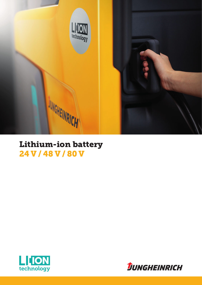

## Lithium-ion battery 24 V / 48 V / 80 V



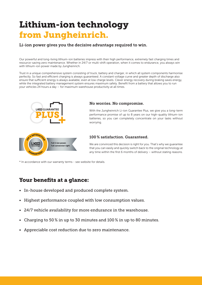# Lithium-ion technology from Jungheinrich.

Li-ion power gives you the decisive advantage required to win.

Our powerful and long-living lithium-ion batteries impress with their high performance, extremely fast charging times and resource-saving zero maintenance. Whether in 24/7 or multi-shift operation, when it comes to endurance, you always win with lithium-ion power made by Jungheinrich.

Trust in a unique comprehensive system consisting of truck, battery and charger, in which all system components harmonise perfectly. So fast and efficient charging is always guaranteed. A constant voltage curve and greater depth of discharge also ensure that sufficient energy is always available, even at low charge levels. Clever energy recovery during braking saves energy, while the integrated battery management system ensures maximum safety. Benefit from a battery that allows you to run your vehicles 24 hours a day – for maximum warehouse productivity at all times.



\* In accordance with our warranty terms - see website for details.

## Your benefits at a glance:

- In-house developed and produced complete system.
- Highest performance coupled with low consumption values.
- 24/7 vehicle availability for more endurance in the warehouse.
- Charging to 50 % in up to 30 minutes and 100 % in up to 80 minutes.
- Appreciable cost reduction due to zero maintenance.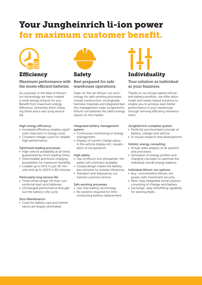# Your Jungheinrich li-ion power for maximum customer benefit.



Efficiency

### Maximum performance with Best prepared for safe the moste efficient batteries.

As a pioneer in the field of lithiumion technology we have created a small energy miracle for you: Benefit from maximum energy efficiency, extremely short charging times and a very long service life.

### High energy efficiency:

- Increased efficiency enables significant reduction in energy costs.
- Constant voltage curve for reliable high performance.

### Optimised loading processes:

- High vehicle availability at all times guaranteed by short loading times.
- Intermediate and boost charging possibilities for maximum flexibility.
- Loaded up to 50 % in just 30 minutes and up to 100 % in 80 minutes.

### Particularly long service life:

- Three times longer life than conventional lead-acid batteries.
- Unchanged performance throughout the battery's life cycle.

### Zero Maintenance:

• Costs for battery care and maintenance are largely eliminated.



### Safety

## warehouse operations.

State-of-the-art lithium-ion technology for safe working processes: closed construction, ecologically harmless materials and integrated battery management make Jungheinrich lithium-ion batteries the safest energy option on the market.

#### Integrated battery management system:

- Continuous monitoring of energy management.
- Display of current charge status in the vehicle display incl. visualisation of recuperation.

### High safety:

- Use of lithium iron phosphate, the safest cell chemistry available.
- Closed design makes the battery less sensitive to outside influences.
- Transport and disposal by our trained customer service.

### Safe working processes:

- Gas-free battery technology.
- No systems required for timeconsuming battery replacement.



### Individuality

### Your solution as individual as your business.

Thanks to our broad-based vehicle and battery portfolio, we offer tailormade and needs-based solutions to enable you to achieve even better performance in your warehouse through winning efficiency enhancement.

### Jungheinrich complete system:

- Perfectly synchronised concept of battery, charger and vehicle.
- In-house research and development.

### Holistic energy consulting:

- Actual-state analysis of all systems and processes.
- Derivation of energy profiles and charging concepts to optimise the individual overall energy balance.

#### Individual lithium-ion options:

- Buy: concentrated lithium-ion power with investment security.
- Rent: fully integrated rental solution consisting of charger and battery.
- Exchange: easy retrofitting capability for existing fleets.